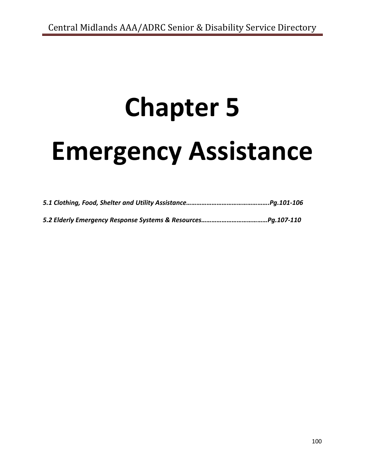# **Chapter 5**

# **Emergency Assistance**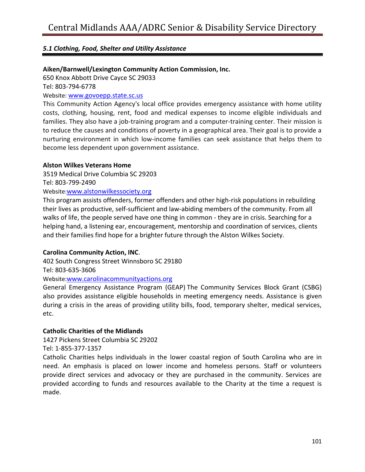# **Aiken/Barnwell/Lexington Community Action Commission, Inc.**

650 Knox Abbott Drive Cayce SC 29033

Tel: 803-794-6778

Website: [www.govoepp.state.sc.us](http://www.govoepp.state.sc.us/)

This Community Action Agency's local office provides emergency assistance with home utility costs, clothing, housing, rent, food and medical expenses to income eligible individuals and families. They also have a job-training program and a computer-training center. Their mission is to reduce the causes and conditions of poverty in a geographical area. Their goal is to provide a nurturing environment in which low-income families can seek assistance that helps them to become less dependent upon government assistance.

#### **Alston Wilkes Veterans Home**

3519 Medical Drive Columbia SC 29203

Tel: 803-799-2490

# Website:[www.alstonwilkessociety.org](http://www.alstonwilkessociety.org/)

This program assists offenders, former offenders and other high-risk populations in rebuilding their lives as productive, self-sufficient and law-abiding members of the community. From all walks of life, the people served have one thing in common - they are in crisis. Searching for a helping hand, a listening ear, encouragement, mentorship and coordination of services, clients and their families find hope for a brighter future through the Alston Wilkes Society.

#### **Carolina Community Action, INC**.

402 South Congress Street Winnsboro SC 29180 Tel: 803-635-3606

Website:[www.carolinacommunityactions.org](http://www.carolinacommunityactions.org/)

General Emergency Assistance Program (GEAP) The Community Services Block Grant (CSBG) also provides assistance eligible households in meeting emergency needs. Assistance is given during a crisis in the areas of providing utility bills, food, temporary shelter, medical services, etc.

#### **Catholic Charities of the Midlands**

1427 Pickens Street Columbia SC 29202

Tel: 1-855-377-1357

Catholic Charities helps individuals in the lower coastal region of South Carolina who are in need. An emphasis is placed on lower income and homeless persons. Staff or volunteers provide direct services and advocacy or they are purchased in the community. Services are provided according to funds and resources available to the Charity at the time a request is made.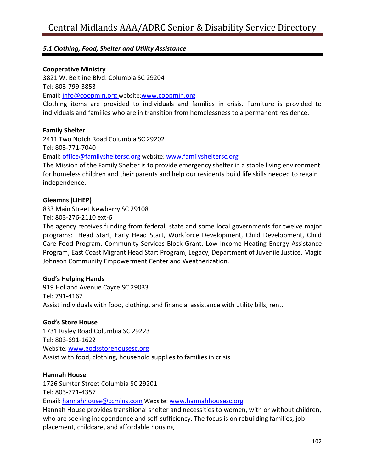#### **Cooperative Ministry**

3821 W. Beltline Blvd. Columbia SC 29204 Tel: 803-799-3853 Email: [info@coopmin.org](mailto:info@coopmin.org) website:[www.coopmin.org](http://www.coopmin.org/)

Clothing items are provided to individuals and families in crisis. Furniture is provided to individuals and families who are in transition from homelessness to a permanent residence.

#### **Family Shelter**

2411 Two Notch Road Columbia SC 29202 Tel: 803-771-7040 Email: [office@familysheltersc.org](mailto:office@familysheltersc.org) website: [www.familysheltersc.org](http://www.familysheltersc.org/) The Mission of the Family Shelter is to provide emergency shelter in a stable living environment

for homeless children and their parents and help our residents build life skills needed to regain independence.

#### **Gleamns (LIHEP)**

833 Main Street Newberry SC 29108

Tel: 803-276-2110 ext-6

The agency receives funding from federal, state and some local governments for twelve major programs: Head Start, Early Head Start, Workforce Development, Child Development, Child Care Food Program, Community Services Block Grant, Low Income Heating Energy Assistance Program, East Coast Migrant Head Start Program, Legacy, Department of Juvenile Justice, Magic Johnson Community Empowerment Center and Weatherization.

# **God's Helping Hands**

919 Holland Avenue Cayce SC 29033 Tel: 791-4167 Assist individuals with food, clothing, and financial assistance with utility bills, rent.

# **God's Store House**

1731 Risley Road Columbia SC 29223 Tel: 803-691-1622 Website: [www.godsstorehousesc.org](http://www.godsstorehousesc.org/) Assist with food, clothing, household supplies to families in crisis

#### **Hannah House**

1726 Sumter Street Columbia SC 29201 Tel: 803-771-4357 Email: [hannahhouse@ccmins.com](mailto:hannahhouse@ccmins.com) Website: [www.hannahhousesc.org](http://www.hannahhousesc.org/) Hannah House provides transitional shelter and necessities to women, with or without children, who are seeking independence and self-sufficiency. The focus is on rebuilding families, job

placement, childcare, and affordable housing.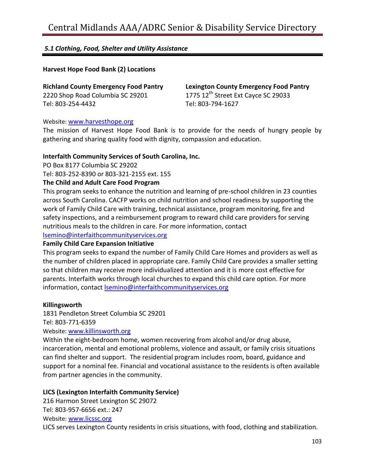# **Harvest Hope Food Bank (2) Locations**

**Richland County Emergency Food Pantry** 2220 Shop Road Columbia SC 29201 Tel: 803-254-4432

**Lexington County Emergency Food Pantry** 1775 12<sup>th</sup> Street Ext Cayce SC 29033 Tel: 803-794-1627

#### Website: [www.harvesthope.org](http://www.harvesthope.org/)

The mission of Harvest Hope Food Bank is to provide for the needs of hungry people by gathering and sharing quality food with dignity, compassion and education.

#### **Interfaith Community Services of South Carolina, Inc.**

PO Box 8177 Columbia SC 29202

Tel: 803-252-8390 or 803-321-2155 ext. 155

#### **The Child and Adult Care Food Program**

This program seeks to enhance the nutrition and learning of pre-school children in 23 counties across South Carolina. CACFP works on child nutrition and school readiness by supporting the work of Family Child Care with training, technical assistance, program monitoring, fire and safety inspections, and a reimbursement program to reward child care providers for serving nutritious meals to the children in care. For more information, contact

[lsemino@interfaithcommunityservices.org](mailto:lsemino@interfaithcommunityservices.org)

#### **Family Child Care Expansion Initiative**

This program seeks to expand the number of Family Child Care Homes and providers as well as the number of children placed in appropriate care. Family Child Care provides a smaller setting so that children may receive more individualized attention and it is more cost effective for parents. Interfaith works through local churches to expand this child care option. For more information, contact [lsemino@interfaithcommunityservices.org](mailto:lsemino@interfaithcommunityservices.org)

#### **Killingsworth**

1831 Pendleton Street Columbia SC 29201 Tel: 803-771-6359

Website: [www.killinsworth.org](http://www.killinsworth.org/)

Within the eight-bedroom home, women recovering from alcohol and/or drug abuse, incarceration, mental and emotional problems, violence and assault, or family crisis situations can find shelter and support. The residential program includes room, board, guidance and support for a nominal fee. Financial and vocational assistance to the residents is often available from partner agencies in the community.

# **LICS (Lexington Interfaith Community Service)**

216 Harmon Street Lexington SC 29072 Tel: 803-957-6656 ext.: 247 Website: [www.licssc.org](http://www.licssc.org/) LICS serves Lexington County residents in crisis situations, with food, clothing and stabilization.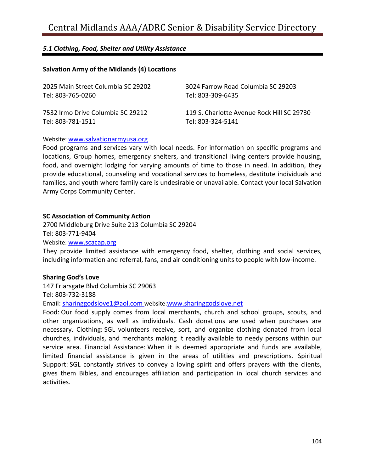# **Salvation Army of the Midlands (4) Locations**

| 2025 Main Street Columbia SC 29202 | 3024 Farrow Road Columbia SC 29203         |
|------------------------------------|--------------------------------------------|
| Tel: 803-765-0260                  | Tel: 803-309-6435                          |
| 7532 Irmo Drive Columbia SC 29212  | 119 S. Charlotte Avenue Rock Hill SC 29730 |
| Tel: 803-781-1511                  | Tel: 803-324-5141                          |

Website: [www.salvationarmyusa.org](http://www.salvationarmyusa.org/)

Food programs and services vary with local needs. For information on specific programs and locations, Group homes, emergency shelters, and transitional living centers provide housing, food, and overnight lodging for varying amounts of time to those in need. In addition, they provide educational, counseling and vocational services to homeless, destitute individuals and families, and youth where family care is undesirable or unavailable. Contact your local Salvation Army Corps Community Center.

#### **SC Association of Community Action**

2700 Middleburg Drive Suite 213 Columbia SC 29204 Tel: 803-771-9404 Website: [www.scacap.org](http://www.scacap.org/)

They provide limited assistance with emergency food, shelter, clothing and social services, including information and referral, fans, and air conditioning units to people with low-income.

# **Sharing God's Love**

147 Friarsgate Blvd Columbia SC 29063

Tel: 803-732-3188

Email: [sharinggodslove1@aol.com](mailto:sharinggodslove1@aol.com) website:[www.sharinggodslove.net](http://www.sharinggodslove.net/)

Food: Our food supply comes from local merchants, church and school groups, scouts, and other organizations, as well as individuals. Cash donations are used when purchases are necessary. Clothing: SGL volunteers receive, sort, and organize clothing donated from local churches, individuals, and merchants making it readily available to needy persons within our service area. Financial Assistance: When it is deemed appropriate and funds are available, limited financial assistance is given in the areas of utilities and prescriptions. Spiritual Support: SGL constantly strives to convey a loving spirit and offers prayers with the clients, gives them Bibles, and encourages affiliation and participation in local church services and activities.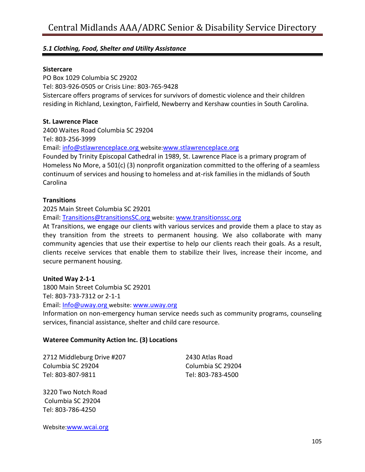#### **Sistercare**

PO Box 1029 Columbia SC 29202 Tel: 803-926-0505 or Crisis Line: 803-765-9428 Sistercare offers programs of services for survivors of domestic violence and their children residing in Richland, Lexington, Fairfield, Newberry and Kershaw counties in South Carolina.

#### **St. Lawrence Place**

2400 Waites Road Columbia SC 29204

Tel: 803-256-3999

Email: [info@stlawrenceplace.org](mailto:info@stlawrenceplace.org) website:[www.stlawrenceplace.org](http://www.stlawrenceplace.org/)

Founded by Trinity Episcopal Cathedral in 1989, St. Lawrence Place is a primary program of Homeless No More, a 501(c) (3) nonprofit organization committed to the offering of a seamless continuum of services and housing to homeless and at-risk families in the midlands of South Carolina

#### **Transitions**

2025 Main Street Columbia SC 29201

Email: [Transitions@transitionsSC.org](mailto:Transitions@transitionsSC.org) website: [www.transitionssc.org](http://www.transitionssc.org/)

At Transitions, we engage our clients with various services and provide them a place to stay as they transition from the streets to permanent housing. We also collaborate with many community agencies that use their expertise to help our clients reach their goals. As a result, clients receive services that enable them to stabilize their lives, increase their income, and secure permanent housing.

#### **United Way 2-1-1**

1800 Main Street Columbia SC 29201

Tel: 803-733-7312 or 2-1-1

Email: [Info@uway.org](mailto:Info@uway.org) website: [www.uway.org](http://www.uway.org/)

Information on non-emergency human service needs such as community programs, counseling services, financial assistance, shelter and child care resource.

#### **Wateree Community Action Inc. (3) Locations**

2712 Middleburg Drive #207 Columbia SC 29204 Tel: 803-807-9811

2430 Atlas Road Columbia SC 29204 Tel: 803-783-4500

3220 Two Notch Road Columbia SC 29204 Tel: 803-786-4250

Website:[www.wcai.org](http://www.wcai.org/)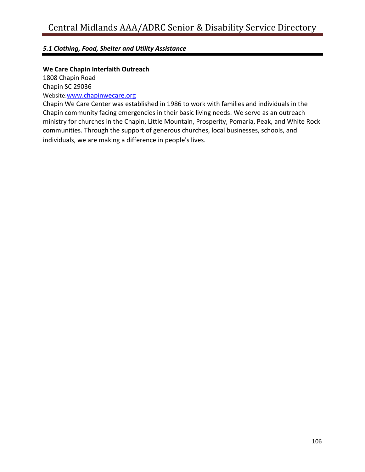# **We Care Chapin Interfaith Outreach**

1808 Chapin Road

Chapin SC 29036

Website:[www.chapinwecare.org](http://www.chapinwecare.org/)

Chapin We Care Center was established in 1986 to work with families and individuals in the Chapin community facing emergencies in their basic living needs. We serve as an outreach ministry for churches in the Chapin, Little Mountain, Prosperity, Pomaria, Peak, and White Rock communities. Through the support of generous churches, local businesses, schools, and individuals, we are making a difference in people's lives.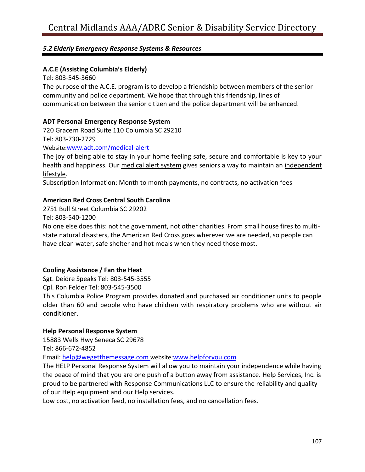# **A.C.E (Assisting Columbia's Elderly)**

Tel: 803-545-3660

The purpose of the A.C.E. program is to develop a friendship between members of the senior community and police department. We hope that through this friendship, lines of communication between the senior citizen and the police department will be enhanced.

# **ADT Personal Emergency Response System**

720 Gracern Road Suite 110 Columbia SC 29210 Tel: 803-730-2729

#### Website:[www.adt.com/medical-alert](http://www.adt.com/medical-alert)

The joy of being able to stay in your home feeling safe, secure and comfortable is key to your health and happiness. Our [medical alert system](https://www.adt.com/health) gives seniors a way to maintain an independent [lifestyle.](https://www.adt.com/senior-safety)

Subscription Information: Month to month payments, no contracts, no activation fees

# **American Red Cross Central South Carolina**

2751 Bull Street Columbia SC 29202

Tel: 803-540-1200

No one else does this: not the government, not other charities. From small house fires to multistate natural disasters, the American Red Cross goes wherever we are needed, so people can have clean water, safe shelter and hot meals when they need those most.

# **Cooling Assistance / Fan the Heat**

Sgt. Deidre Speaks Tel: 803-545-3555

Cpl. Ron Felder Tel: 803-545-3500

This Columbia Police Program provides donated and purchased air conditioner units to people older than 60 and people who have children with respiratory problems who are without air conditioner.

# **Help Personal Response System**

15883 Wells Hwy Seneca SC 29678

Tel: 866-672-4852

Email: [help@wegetthemessage.com](mailto:help@wegetthemessage.com) website:[www.helpforyou.com](http://www.helpforyou.com/)

The HELP Personal Response System will allow you to maintain your independence while having the peace of mind that you are one push of a button away from assistance. Help Services, Inc. is proud to be partnered with Response Communications LLC to ensure the reliability and quality of our Help equipment and our Help services.

Low cost, no activation feed, no installation fees, and no cancellation fees.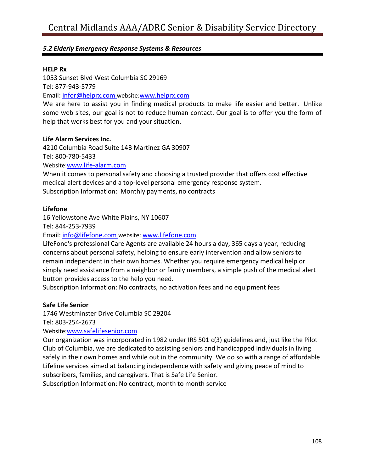#### **HELP Rx**

1053 Sunset Blvd West Columbia SC 29169 Tel: 877-943-5779

Email: [infor@helprx.com](mailto:infor@helprx.com) website:[www.helprx.com](http://www.helprx.com/)

We are here to assist you in finding medical products to make life easier and better. Unlike some web sites, our goal is not to reduce human contact. Our goal is to offer you the form of help that works best for you and your situation.

#### **Life Alarm Services Inc.**

4210 Columbia Road Suite 14B Martinez GA 30907 Tel: 800-780-5433 Website:[www.life-alarm.com](http://www.life-alarm.com/)

When it comes to personal safety and choosing a trusted provider that offers cost effective medical alert devices and a top-level personal emergency response system. Subscription Information: Monthly payments, no contracts

#### **Lifefone**

16 Yellowstone Ave White Plains, NY 10607

Tel: 844-253-7939

Email: [info@lifefone.com](mailto:info@lifefone.com) website: [www.lifefone.com](http://www.lifefone.com/)

LifeFone's professional Care Agents are available 24 hours a day, 365 days a year, reducing concerns about personal safety, helping to ensure early intervention and allow seniors to remain independent in their own homes. Whether you require emergency medical help or simply need assistance from a neighbor or family members, a simple push of the medical alert button provides access to the help you need.

Subscription Information: No contracts, no activation fees and no equipment fees

# **Safe Life Senior**

1746 Westminster Drive Columbia SC 29204

Tel: 803-254-2673

Website:[www.safelifesenior.com](http://www.safelifesenior.com/)

Our organization was incorporated in 1982 under IRS 501 c(3) guidelines and, just like the Pilot Club of Columbia, we are dedicated to assisting seniors and handicapped individuals in living safely in their own homes and while out in the community. We do so with a range of affordable Lifeline services aimed at balancing independence with safety and giving peace of mind to subscribers, families, and caregivers. That is Safe Life Senior.

Subscription Information: No contract, month to month service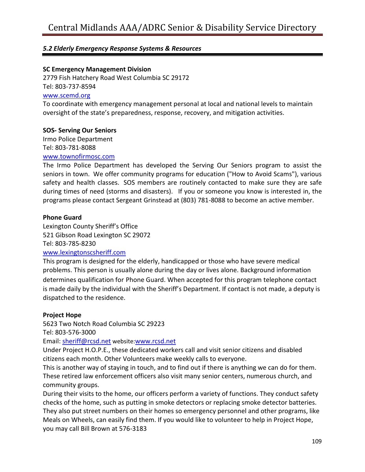#### **SC Emergency Management Division**

2779 Fish Hatchery Road West Columbia SC 29172 Tel: 803-737-8594 [www.scemd.org](http://www.scemd.org/)

To coordinate with emergency management personal at local and national levels to maintain oversight of the state's preparedness, response, recovery, and mitigation activities.

#### **SOS- Serving Our Seniors**

Irmo Police Department Tel: 803-781-8088

#### [www.townofirmosc.com](http://www.townofirmosc.com/)

The Irmo Police Department has developed the Serving Our Seniors program to assist the seniors in town. We offer community programs for education ("How to Avoid Scams"), various safety and health classes. SOS members are routinely contacted to make sure they are safe during times of need (storms and disasters). If you or someone you know is interested in, the programs please contact Sergeant Grinstead at (803) 781-8088 to become an active member.

#### **Phone Guard**

Lexington County Sheriff's Office 521 Gibson Road Lexington SC 29072 Tel: 803-785-8230

#### [www.lexingtonscsheriff.com](http://www.lexingtonscsheriff.com/)

This program is designed for the elderly, handicapped or those who have severe medical problems. This person is usually alone during the day or lives alone. Background information determines qualification for Phone Guard. When accepted for this program telephone contact is made daily by the individual with the Sheriff's Department. If contact is not made, a deputy is dispatched to the residence.

#### **Project Hope**

5623 Two Notch Road Columbia SC 29223

Tel: 803-576-3000

Email: [sheriff@rcsd.net](mailto:sheriff@rcsd.net) website:[www.rcsd.net](http://www.rcsd.net/)

Under Project H.O.P.E., these dedicated workers call and visit senior citizens and disabled citizens each month. Other Volunteers make weekly calls to everyone.

This is another way of staying in touch, and to find out if there is anything we can do for them. These retired law enforcement officers also visit many senior centers, numerous church, and community groups.

During their visits to the home, our officers perform a variety of functions. They conduct safety checks of the home, such as putting in smoke detectors or replacing smoke detector batteries. They also put street numbers on their homes so emergency personnel and other programs, like Meals on Wheels, can easily find them. If you would like to volunteer to help in Project Hope, you may call Bill Brown at 576-3183